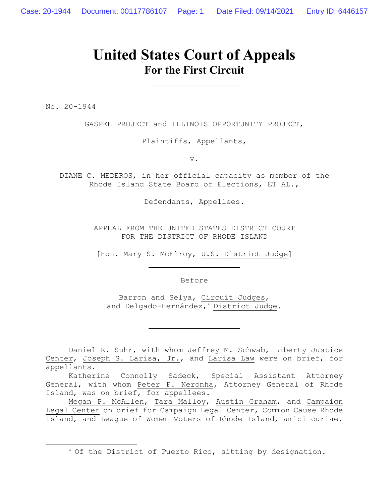# **United States Court of Appeals For the First Circuit**

No. 20-1944

GASPEE PROJECT and ILLINOIS OPPORTUNITY PROJECT,

Plaintiffs, Appellants,

v.

DIANE C. MEDEROS, in her official capacity as member of the Rhode Island State Board of Elections, ET AL.,

Defendants, Appellees.

APPEAL FROM THE UNITED STATES DISTRICT COURT FOR THE DISTRICT OF RHODE ISLAND

[Hon. Mary S. McElroy, U.S. District Judge]

Before

Barron and Selya, Circuit Judges, and Delgado-Hernández,\* District Judge.

Daniel R. Suhr, with whom Jeffrey M. Schwab, Liberty Justice Center, Joseph S. Larisa, Jr., and Larisa Law were on brief, for appellants.

Katherine Connolly Sadeck, Special Assistant Attorney General, with whom Peter F. Neronha, Attorney General of Rhode Island, was on brief, for appellees.

Megan P. McAllen, Tara Malloy, Austin Graham, and Campaign Legal Center on brief for Campaign Legal Center, Common Cause Rhode Island, and League of Women Voters of Rhode Island, amici curiae.

<sup>\*</sup> Of the District of Puerto Rico, sitting by designation.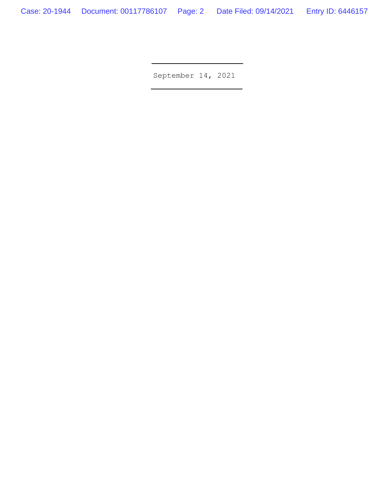September 14, 2021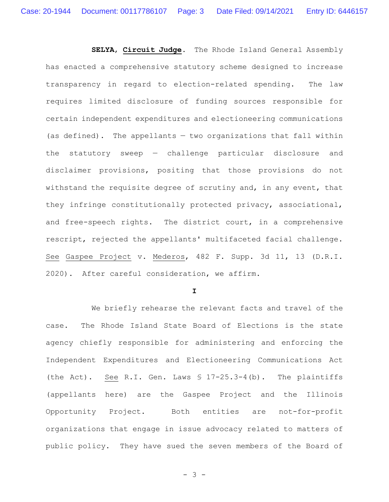**SELYA**, **Circuit Judge**. The Rhode Island General Assembly has enacted a comprehensive statutory scheme designed to increase transparency in regard to election-related spending. The law requires limited disclosure of funding sources responsible for certain independent expenditures and electioneering communications (as defined). The appellants — two organizations that fall within the statutory sweep — challenge particular disclosure and disclaimer provisions, positing that those provisions do not withstand the requisite degree of scrutiny and, in any event, that they infringe constitutionally protected privacy, associational, and free-speech rights. The district court, in a comprehensive rescript, rejected the appellants' multifaceted facial challenge. See Gaspee Project v. Mederos, 482 F. Supp. 3d 11, 13 (D.R.I. 2020). After careful consideration, we affirm.

**I**

We briefly rehearse the relevant facts and travel of the case. The Rhode Island State Board of Elections is the state agency chiefly responsible for administering and enforcing the Independent Expenditures and Electioneering Communications Act (the Act). See R.I. Gen. Laws § 17-25.3-4(b). The plaintiffs (appellants here) are the Gaspee Project and the Illinois Opportunity Project. Both entities are not-for-profit organizations that engage in issue advocacy related to matters of public policy. They have sued the seven members of the Board of

- 3 -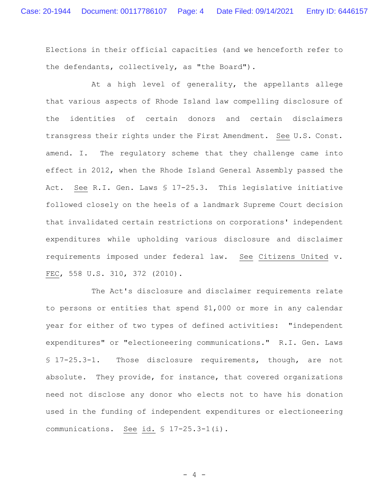Elections in their official capacities (and we henceforth refer to the defendants, collectively, as "the Board").

At a high level of generality, the appellants allege that various aspects of Rhode Island law compelling disclosure of the identities of certain donors and certain disclaimers transgress their rights under the First Amendment. See U.S. Const. amend. I. The regulatory scheme that they challenge came into effect in 2012, when the Rhode Island General Assembly passed the Act. See R.I. Gen. Laws § 17-25.3. This legislative initiative followed closely on the heels of a landmark Supreme Court decision that invalidated certain restrictions on corporations' independent expenditures while upholding various disclosure and disclaimer requirements imposed under federal law. See Citizens United v. FEC, 558 U.S. 310, 372 (2010).

The Act's disclosure and disclaimer requirements relate to persons or entities that spend \$1,000 or more in any calendar year for either of two types of defined activities: "independent expenditures" or "electioneering communications." R.I. Gen. Laws § 17-25.3-1. Those disclosure requirements, though, are not absolute. They provide, for instance, that covered organizations need not disclose any donor who elects not to have his donation used in the funding of independent expenditures or electioneering communications. See id. § 17-25.3-1(i).

- 4 -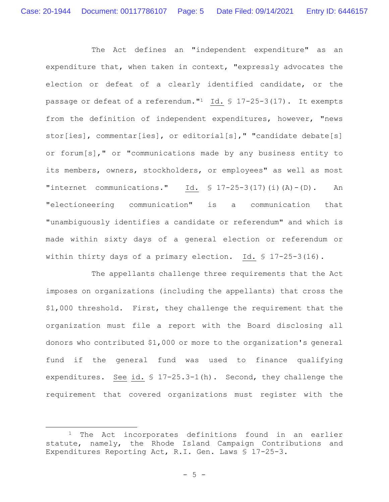The Act defines an "independent expenditure" as an expenditure that, when taken in context, "expressly advocates the election or defeat of a clearly identified candidate, or the passage or defeat of a referendum."1 Id. § 17-25-3(17). It exempts from the definition of independent expenditures, however, "news stor[ies], commentar[ies], or editorial[s]," "candidate debate[s] or forum[s]," or "communications made by any business entity to its members, owners, stockholders, or employees" as well as most "internet communications." Id.  $\$ 17-25-3(17)$  (i)(A)-(D). An "electioneering communication" is a communication that "unambiguously identifies a candidate or referendum" and which is made within sixty days of a general election or referendum or within thirty days of a primary election. Id. § 17-25-3(16).

The appellants challenge three requirements that the Act imposes on organizations (including the appellants) that cross the \$1,000 threshold. First, they challenge the requirement that the organization must file a report with the Board disclosing all donors who contributed \$1,000 or more to the organization's general fund if the general fund was used to finance qualifying expenditures. See id. § 17-25.3-1(h). Second, they challenge the requirement that covered organizations must register with the

<sup>&</sup>lt;sup>1</sup> The Act incorporates definitions found in an earlier statute, namely, the Rhode Island Campaign Contributions and Expenditures Reporting Act, R.I. Gen. Laws § 17-25-3.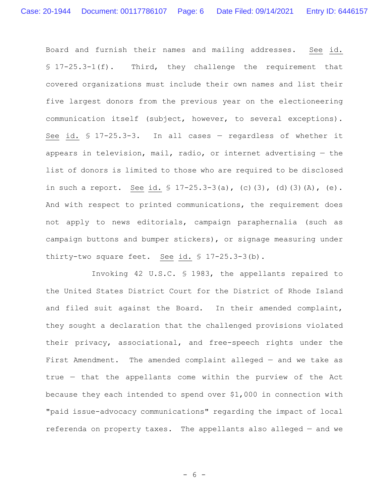Board and furnish their names and mailing addresses. See id. § 17-25.3-1(f). Third, they challenge the requirement that covered organizations must include their own names and list their five largest donors from the previous year on the electioneering communication itself (subject, however, to several exceptions). See id. § 17-25.3-3. In all cases — regardless of whether it appears in television, mail, radio, or internet advertising  $-$  the list of donors is limited to those who are required to be disclosed in such a report. See id. § 17-25.3-3(a), (c)(3), (d)(3)(A), (e). And with respect to printed communications, the requirement does not apply to news editorials, campaign paraphernalia (such as campaign buttons and bumper stickers), or signage measuring under thirty-two square feet. See id. § 17-25.3-3(b).

Invoking 42 U.S.C. § 1983, the appellants repaired to the United States District Court for the District of Rhode Island and filed suit against the Board. In their amended complaint, they sought a declaration that the challenged provisions violated their privacy, associational, and free-speech rights under the First Amendment. The amended complaint alleged - and we take as true — that the appellants come within the purview of the Act because they each intended to spend over \$1,000 in connection with "paid issue-advocacy communications" regarding the impact of local referenda on property taxes. The appellants also alleged — and we

- 6 -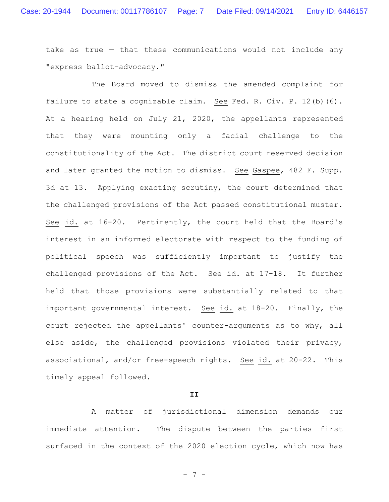take as true — that these communications would not include any "express ballot-advocacy."

The Board moved to dismiss the amended complaint for failure to state a cognizable claim. See Fed. R. Civ. P. 12(b)(6). At a hearing held on July 21, 2020, the appellants represented that they were mounting only a facial challenge to the constitutionality of the Act. The district court reserved decision and later granted the motion to dismiss. See Gaspee, 482 F. Supp. 3d at 13. Applying exacting scrutiny, the court determined that the challenged provisions of the Act passed constitutional muster. See id. at 16-20. Pertinently, the court held that the Board's interest in an informed electorate with respect to the funding of political speech was sufficiently important to justify the challenged provisions of the Act. See id. at 17-18. It further held that those provisions were substantially related to that important governmental interest. See id. at 18-20. Finally, the court rejected the appellants' counter-arguments as to why, all else aside, the challenged provisions violated their privacy, associational, and/or free-speech rights. See id. at 20-22. This timely appeal followed.

### **II**

A matter of jurisdictional dimension demands our immediate attention. The dispute between the parties first surfaced in the context of the 2020 election cycle, which now has

- 7 -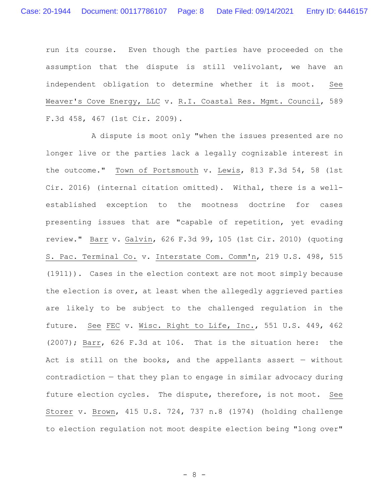run its course. Even though the parties have proceeded on the assumption that the dispute is still velivolant, we have an independent obligation to determine whether it is moot. See Weaver's Cove Energy, LLC v. R.I. Coastal Res. Mgmt. Council, 589 F.3d 458, 467 (1st Cir. 2009).

A dispute is moot only "when the issues presented are no longer live or the parties lack a legally cognizable interest in the outcome." Town of Portsmouth v. Lewis, 813 F.3d 54, 58 (1st Cir. 2016) (internal citation omitted). Withal, there is a wellestablished exception to the mootness doctrine for cases presenting issues that are "capable of repetition, yet evading review." Barr v. Galvin, 626 F.3d 99, 105 (1st Cir. 2010) (quoting S. Pac. Terminal Co. v. Interstate Com. Comm'n, 219 U.S. 498, 515 (1911)). Cases in the election context are not moot simply because the election is over, at least when the allegedly aggrieved parties are likely to be subject to the challenged regulation in the future. See FEC v. Wisc. Right to Life, Inc., 551 U.S. 449, 462 (2007); Barr, 626 F.3d at 106. That is the situation here: the Act is still on the books, and the appellants assert  $-$  without contradiction — that they plan to engage in similar advocacy during future election cycles. The dispute, therefore, is not moot. See Storer v. Brown, 415 U.S. 724, 737 n.8 (1974) (holding challenge to election regulation not moot despite election being "long over"

- 8 -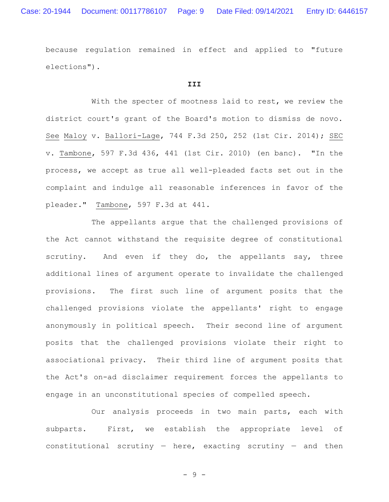because regulation remained in effect and applied to "future elections").

## **III**

With the specter of mootness laid to rest, we review the district court's grant of the Board's motion to dismiss de novo. See Maloy v. Ballori-Lage, 744 F.3d 250, 252 (1st Cir. 2014); SEC v. Tambone, 597 F.3d 436, 441 (1st Cir. 2010) (en banc). "In the process, we accept as true all well-pleaded facts set out in the complaint and indulge all reasonable inferences in favor of the pleader." Tambone, 597 F.3d at 441.

The appellants argue that the challenged provisions of the Act cannot withstand the requisite degree of constitutional scrutiny. And even if they do, the appellants say, three additional lines of argument operate to invalidate the challenged provisions. The first such line of argument posits that the challenged provisions violate the appellants' right to engage anonymously in political speech. Their second line of argument posits that the challenged provisions violate their right to associational privacy. Their third line of argument posits that the Act's on-ad disclaimer requirement forces the appellants to engage in an unconstitutional species of compelled speech.

Our analysis proceeds in two main parts, each with subparts. First, we establish the appropriate level of constitutional scrutiny  $-$  here, exacting scrutiny  $-$  and then

- 9 -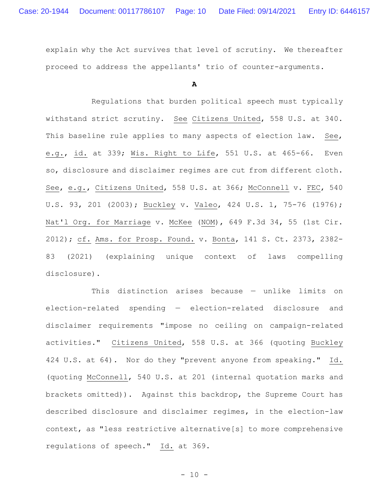explain why the Act survives that level of scrutiny. We thereafter proceed to address the appellants' trio of counter-arguments.

**A**

Regulations that burden political speech must typically withstand strict scrutiny. See Citizens United, 558 U.S. at 340. This baseline rule applies to many aspects of election law. See, e.g., id. at 339; Wis. Right to Life, 551 U.S. at 465-66. Even so, disclosure and disclaimer regimes are cut from different cloth. See, e.g., Citizens United, 558 U.S. at 366; McConnell v. FEC, 540 U.S. 93, 201 (2003); Buckley v. Valeo, 424 U.S. 1, 75-76 (1976); Nat'l Org. for Marriage v. McKee (NOM), 649 F.3d 34, 55 (1st Cir. 2012); cf. Ams. for Prosp. Found. v. Bonta, 141 S. Ct. 2373, 2382- 83 (2021) (explaining unique context of laws compelling disclosure).

This distinction arises because — unlike limits on election-related spending — election-related disclosure and disclaimer requirements "impose no ceiling on campaign-related activities." Citizens United, 558 U.S. at 366 (quoting Buckley 424 U.S. at 64). Nor do they "prevent anyone from speaking." Id. (quoting McConnell, 540 U.S. at 201 (internal quotation marks and brackets omitted)). Against this backdrop, the Supreme Court has described disclosure and disclaimer regimes, in the election-law context, as "less restrictive alternative[s] to more comprehensive regulations of speech." Id. at 369.

 $- 10 -$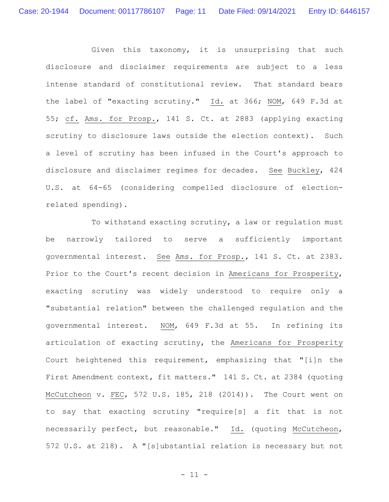Given this taxonomy, it is unsurprising that such disclosure and disclaimer requirements are subject to a less intense standard of constitutional review. That standard bears the label of "exacting scrutiny." Id. at 366; NOM, 649 F.3d at 55; cf. Ams. for Prosp., 141 S. Ct. at 2883 (applying exacting scrutiny to disclosure laws outside the election context). Such a level of scrutiny has been infused in the Court's approach to disclosure and disclaimer regimes for decades. See Buckley, 424 U.S. at 64-65 (considering compelled disclosure of electionrelated spending).

To withstand exacting scrutiny, a law or regulation must be narrowly tailored to serve a sufficiently important governmental interest. See Ams. for Prosp., 141 S. Ct. at 2383. Prior to the Court's recent decision in Americans for Prosperity, exacting scrutiny was widely understood to require only a "substantial relation" between the challenged regulation and the governmental interest. NOM, 649 F.3d at 55. In refining its articulation of exacting scrutiny, the Americans for Prosperity Court heightened this requirement, emphasizing that "[i]n the First Amendment context, fit matters." 141 S. Ct. at 2384 (quoting McCutcheon v. FEC, 572 U.S. 185, 218 (2014)). The Court went on to say that exacting scrutiny "require[s] a fit that is not necessarily perfect, but reasonable." Id. (quoting McCutcheon, 572 U.S. at 218). A "[s]ubstantial relation is necessary but not

- 11 -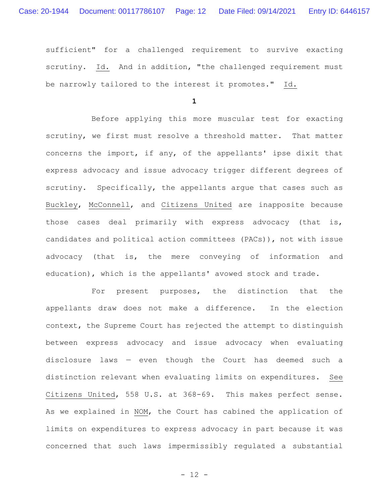sufficient" for a challenged requirement to survive exacting scrutiny. Id. And in addition, "the challenged requirement must be narrowly tailored to the interest it promotes." Id.

**1**

Before applying this more muscular test for exacting scrutiny, we first must resolve a threshold matter. That matter concerns the import, if any, of the appellants' ipse dixit that express advocacy and issue advocacy trigger different degrees of scrutiny. Specifically, the appellants argue that cases such as Buckley, McConnell, and Citizens United are inapposite because those cases deal primarily with express advocacy (that is, candidates and political action committees (PACs)), not with issue advocacy (that is, the mere conveying of information and education), which is the appellants' avowed stock and trade.

For present purposes, the distinction that the appellants draw does not make a difference. In the election context, the Supreme Court has rejected the attempt to distinguish between express advocacy and issue advocacy when evaluating disclosure laws — even though the Court has deemed such a distinction relevant when evaluating limits on expenditures. See Citizens United, 558 U.S. at 368-69. This makes perfect sense. As we explained in NOM, the Court has cabined the application of limits on expenditures to express advocacy in part because it was concerned that such laws impermissibly regulated a substantial

- 12 -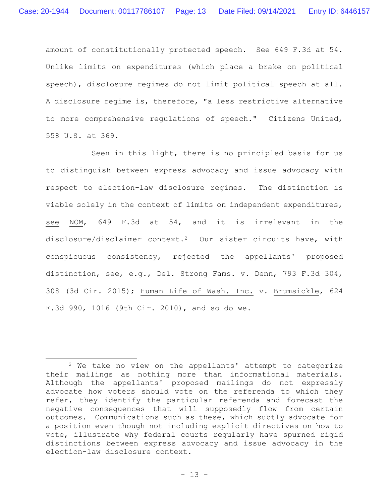amount of constitutionally protected speech. See 649 F.3d at 54. Unlike limits on expenditures (which place a brake on political speech), disclosure regimes do not limit political speech at all. A disclosure regime is, therefore, "a less restrictive alternative to more comprehensive regulations of speech." Citizens United, 558 U.S. at 369.

Seen in this light, there is no principled basis for us to distinguish between express advocacy and issue advocacy with respect to election-law disclosure regimes. The distinction is viable solely in the context of limits on independent expenditures, see NOM, 649 F.3d at 54, and it is irrelevant in the disclosure/disclaimer context.2 Our sister circuits have, with conspicuous consistency, rejected the appellants' proposed distinction, see, e.g., Del. Strong Fams. v. Denn, 793 F.3d 304, 308 (3d Cir. 2015); Human Life of Wash. Inc. v. Brumsickle, 624 F.3d 990, 1016 (9th Cir. 2010), and so do we.

<sup>2</sup> We take no view on the appellants' attempt to categorize their mailings as nothing more than informational materials. Although the appellants' proposed mailings do not expressly advocate how voters should vote on the referenda to which they refer, they identify the particular referenda and forecast the negative consequences that will supposedly flow from certain outcomes. Communications such as these, which subtly advocate for a position even though not including explicit directives on how to vote, illustrate why federal courts regularly have spurned rigid distinctions between express advocacy and issue advocacy in the election-law disclosure context.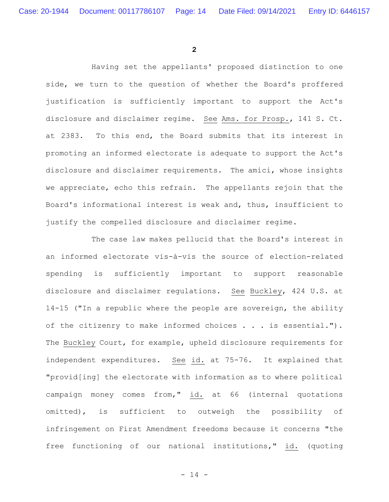**2**

Having set the appellants' proposed distinction to one side, we turn to the question of whether the Board's proffered justification is sufficiently important to support the Act's disclosure and disclaimer regime. See Ams. for Prosp., 141 S. Ct. at 2383. To this end, the Board submits that its interest in promoting an informed electorate is adequate to support the Act's disclosure and disclaimer requirements. The amici, whose insights we appreciate, echo this refrain. The appellants rejoin that the Board's informational interest is weak and, thus, insufficient to justify the compelled disclosure and disclaimer regime.

The case law makes pellucid that the Board's interest in an informed electorate vis-à-vis the source of election-related spending is sufficiently important to support reasonable disclosure and disclaimer regulations. See Buckley, 424 U.S. at 14-15 ("In a republic where the people are sovereign, the ability of the citizenry to make informed choices . . . is essential."). The Buckley Court, for example, upheld disclosure requirements for independent expenditures. See id. at 75-76. It explained that "provid[ing] the electorate with information as to where political campaign money comes from," id. at 66 (internal quotations omitted), is sufficient to outweigh the possibility of infringement on First Amendment freedoms because it concerns "the free functioning of our national institutions," id. (quoting

- 14 -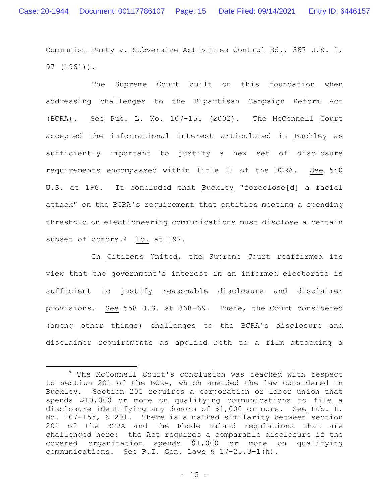Communist Party v. Subversive Activities Control Bd., 367 U.S. 1, 97 (1961)).

The Supreme Court built on this foundation when addressing challenges to the Bipartisan Campaign Reform Act (BCRA). See Pub. L. No. 107-155 (2002). The McConnell Court accepted the informational interest articulated in Buckley as sufficiently important to justify a new set of disclosure requirements encompassed within Title II of the BCRA. See 540 U.S. at 196. It concluded that Buckley "foreclose[d] a facial attack" on the BCRA's requirement that entities meeting a spending threshold on electioneering communications must disclose a certain subset of donors.<sup>3</sup> Id. at 197.

In Citizens United, the Supreme Court reaffirmed its view that the government's interest in an informed electorate is sufficient to justify reasonable disclosure and disclaimer provisions. See 558 U.S. at 368-69. There, the Court considered (among other things) challenges to the BCRA's disclosure and disclaimer requirements as applied both to a film attacking a

<sup>3</sup> The McConnell Court's conclusion was reached with respect to section 201 of the BCRA, which amended the law considered in Buckley. Section 201 requires a corporation or labor union that spends \$10,000 or more on qualifying communications to file a disclosure identifying any donors of \$1,000 or more. See Pub. L. No. 107-155, § 201. There is a marked similarity between section 201 of the BCRA and the Rhode Island regulations that are challenged here: the Act requires a comparable disclosure if the covered organization spends \$1,000 or more on qualifying communications. See R.I. Gen. Laws § 17-25.3-1(h).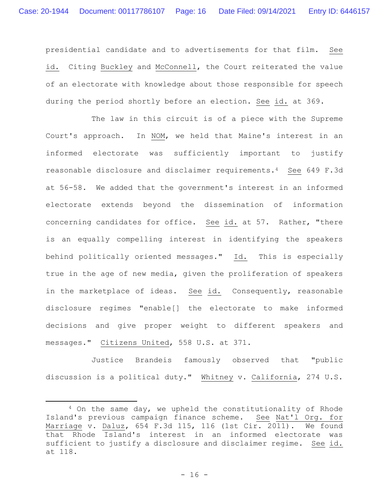presidential candidate and to advertisements for that film. See id. Citing Buckley and McConnell, the Court reiterated the value of an electorate with knowledge about those responsible for speech during the period shortly before an election. See id. at 369.

The law in this circuit is of a piece with the Supreme Court's approach. In NOM, we held that Maine's interest in an informed electorate was sufficiently important to justify reasonable disclosure and disclaimer requirements.4 See 649 F.3d at 56-58. We added that the government's interest in an informed electorate extends beyond the dissemination of information concerning candidates for office. See id. at 57. Rather, "there is an equally compelling interest in identifying the speakers behind politically oriented messages." Id. This is especially true in the age of new media, given the proliferation of speakers in the marketplace of ideas. See id. Consequently, reasonable disclosure regimes "enable[] the electorate to make informed decisions and give proper weight to different speakers and messages." Citizens United, 558 U.S. at 371.

Justice Brandeis famously observed that "public discussion is a political duty." Whitney v. California, 274 U.S.

<sup>4</sup> On the same day, we upheld the constitutionality of Rhode Island's previous campaign finance scheme. See Nat'l Org. for Marriage v. Daluz, 654 F.3d 115, 116 (1st Cir. 2011). We found that Rhode Island's interest in an informed electorate was sufficient to justify a disclosure and disclaimer regime. See id. at 118.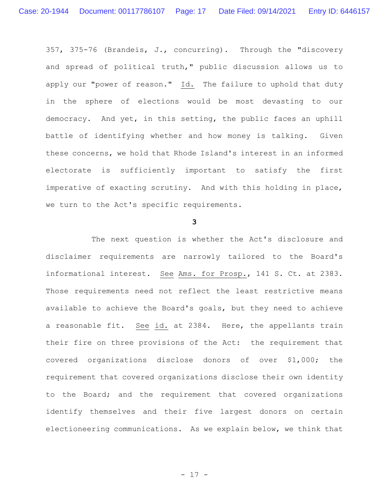357, 375-76 (Brandeis, J., concurring). Through the "discovery and spread of political truth," public discussion allows us to apply our "power of reason." Id. The failure to uphold that duty in the sphere of elections would be most devasting to our democracy. And yet, in this setting, the public faces an uphill battle of identifying whether and how money is talking. Given these concerns, we hold that Rhode Island's interest in an informed electorate is sufficiently important to satisfy the first imperative of exacting scrutiny. And with this holding in place, we turn to the Act's specific requirements.

#### **3**

The next question is whether the Act's disclosure and disclaimer requirements are narrowly tailored to the Board's informational interest. See Ams. for Prosp., 141 S. Ct. at 2383. Those requirements need not reflect the least restrictive means available to achieve the Board's goals, but they need to achieve a reasonable fit. See id. at 2384. Here, the appellants train their fire on three provisions of the Act: the requirement that covered organizations disclose donors of over \$1,000; the requirement that covered organizations disclose their own identity to the Board; and the requirement that covered organizations identify themselves and their five largest donors on certain electioneering communications. As we explain below, we think that

- 17 -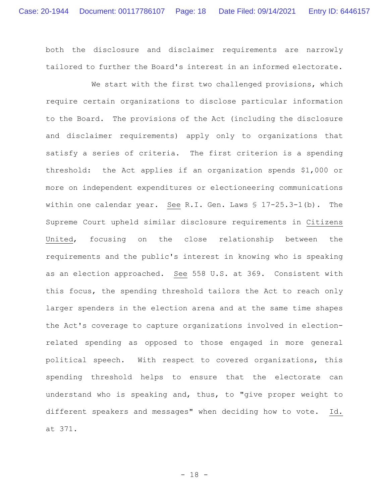both the disclosure and disclaimer requirements are narrowly tailored to further the Board's interest in an informed electorate.

We start with the first two challenged provisions, which require certain organizations to disclose particular information to the Board. The provisions of the Act (including the disclosure and disclaimer requirements) apply only to organizations that satisfy a series of criteria. The first criterion is a spending threshold: the Act applies if an organization spends \$1,000 or more on independent expenditures or electioneering communications within one calendar year. See R.I. Gen. Laws § 17-25.3-1(b). The Supreme Court upheld similar disclosure requirements in Citizens United, focusing on the close relationship between the requirements and the public's interest in knowing who is speaking as an election approached. See 558 U.S. at 369. Consistent with this focus, the spending threshold tailors the Act to reach only larger spenders in the election arena and at the same time shapes the Act's coverage to capture organizations involved in electionrelated spending as opposed to those engaged in more general political speech. With respect to covered organizations, this spending threshold helps to ensure that the electorate can understand who is speaking and, thus, to "give proper weight to different speakers and messages" when deciding how to vote. Id. at 371.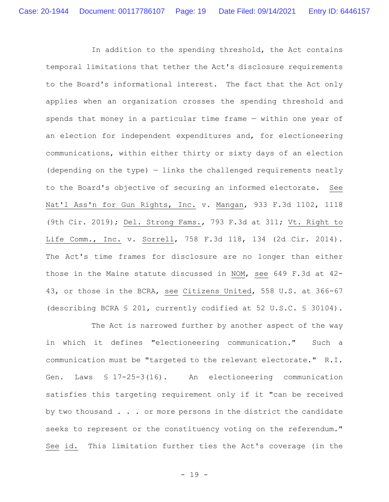In addition to the spending threshold, the Act contains temporal limitations that tether the Act's disclosure requirements to the Board's informational interest. The fact that the Act only applies when an organization crosses the spending threshold and spends that money in a particular time frame — within one year of an election for independent expenditures and, for electioneering communications, within either thirty or sixty days of an election (depending on the type) — links the challenged requirements neatly to the Board's objective of securing an informed electorate. See Nat'l Ass'n for Gun Rights, Inc. v. Mangan, 933 F.3d 1102, 1118 (9th Cir. 2019); Del. Strong Fams., 793 F.3d at 311; Vt. Right to Life Comm., Inc. v. Sorrell, 758 F.3d 118, 134 (2d Cir. 2014). The Act's time frames for disclosure are no longer than either those in the Maine statute discussed in NOM, see 649 F.3d at 42- 43, or those in the BCRA, see Citizens United, 558 U.S. at 366-67 (describing BCRA § 201, currently codified at 52 U.S.C. § 30104).

The Act is narrowed further by another aspect of the way in which it defines "electioneering communication." Such a communication must be "targeted to the relevant electorate." R.I. Gen. Laws § 17-25-3(16). An electioneering communication satisfies this targeting requirement only if it "can be received by two thousand . . . or more persons in the district the candidate seeks to represent or the constituency voting on the referendum." See id. This limitation further ties the Act's coverage (in the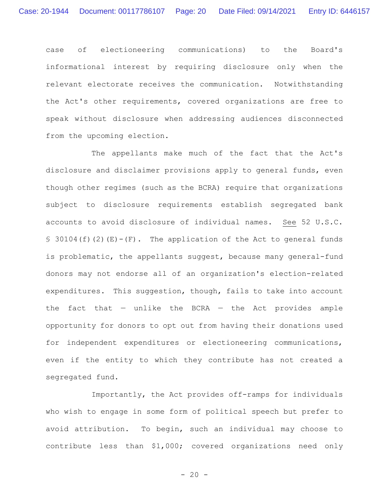case of electioneering communications) to the Board's informational interest by requiring disclosure only when the relevant electorate receives the communication. Notwithstanding the Act's other requirements, covered organizations are free to speak without disclosure when addressing audiences disconnected from the upcoming election.

The appellants make much of the fact that the Act's disclosure and disclaimer provisions apply to general funds, even though other regimes (such as the BCRA) require that organizations subject to disclosure requirements establish segregated bank accounts to avoid disclosure of individual names. See 52 U.S.C. § 30104(f)(2)(E)-(F). The application of the Act to general funds is problematic, the appellants suggest, because many general-fund donors may not endorse all of an organization's election-related expenditures. This suggestion, though, fails to take into account the fact that  $-$  unlike the BCRA  $-$  the Act provides ample opportunity for donors to opt out from having their donations used for independent expenditures or electioneering communications, even if the entity to which they contribute has not created a segregated fund.

Importantly, the Act provides off-ramps for individuals who wish to engage in some form of political speech but prefer to avoid attribution. To begin, such an individual may choose to contribute less than \$1,000; covered organizations need only

 $- 20 -$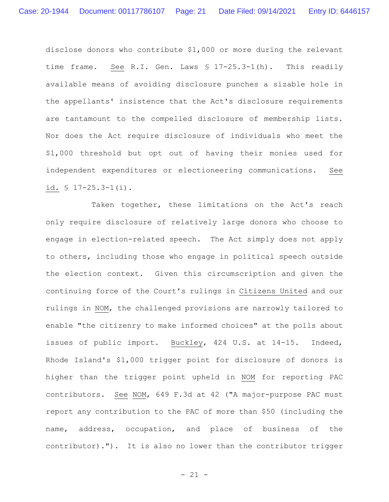disclose donors who contribute \$1,000 or more during the relevant time frame. See R.I. Gen. Laws § 17-25.3-1(h). This readily available means of avoiding disclosure punches a sizable hole in the appellants' insistence that the Act's disclosure requirements are tantamount to the compelled disclosure of membership lists. Nor does the Act require disclosure of individuals who meet the \$1,000 threshold but opt out of having their monies used for independent expenditures or electioneering communications. See id. § 17-25.3-1(i).

Taken together, these limitations on the Act's reach only require disclosure of relatively large donors who choose to engage in election-related speech. The Act simply does not apply to others, including those who engage in political speech outside the election context. Given this circumscription and given the continuing force of the Court's rulings in Citizens United and our rulings in NOM, the challenged provisions are narrowly tailored to enable "the citizenry to make informed choices" at the polls about issues of public import. Buckley, 424 U.S. at 14-15. Indeed, Rhode Island's \$1,000 trigger point for disclosure of donors is higher than the trigger point upheld in NOM for reporting PAC contributors. See NOM, 649 F.3d at 42 ("A major-purpose PAC must report any contribution to the PAC of more than \$50 (including the name, address, occupation, and place of business of the contributor)."). It is also no lower than the contributor trigger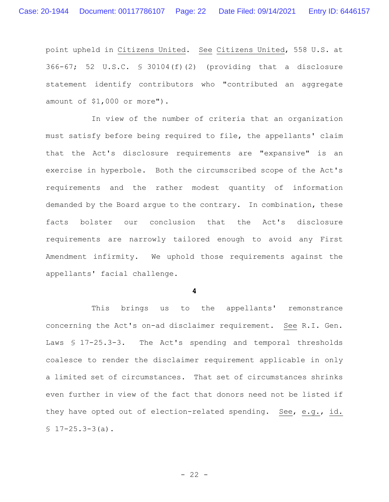point upheld in Citizens United. See Citizens United, 558 U.S. at 366-67; 52 U.S.C. § 30104(f)(2) (providing that a disclosure statement identify contributors who "contributed an aggregate amount of \$1,000 or more").

In view of the number of criteria that an organization must satisfy before being required to file, the appellants' claim that the Act's disclosure requirements are "expansive" is an exercise in hyperbole. Both the circumscribed scope of the Act's requirements and the rather modest quantity of information demanded by the Board argue to the contrary. In combination, these facts bolster our conclusion that the Act's disclosure requirements are narrowly tailored enough to avoid any First Amendment infirmity. We uphold those requirements against the appellants' facial challenge.

**4**

This brings us to the appellants' remonstrance concerning the Act's on-ad disclaimer requirement. See R.I. Gen. Laws § 17-25.3-3. The Act's spending and temporal thresholds coalesce to render the disclaimer requirement applicable in only a limited set of circumstances. That set of circumstances shrinks even further in view of the fact that donors need not be listed if they have opted out of election-related spending. See, e.g., id.  $$17-25.3-3(a).$ 

 $- 22 -$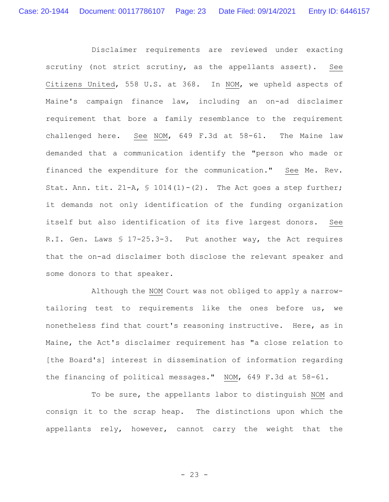Disclaimer requirements are reviewed under exacting scrutiny (not strict scrutiny, as the appellants assert). See Citizens United, 558 U.S. at 368. In NOM, we upheld aspects of Maine's campaign finance law, including an on-ad disclaimer requirement that bore a family resemblance to the requirement challenged here. See NOM, 649 F.3d at 58-61. The Maine law demanded that a communication identify the "person who made or financed the expenditure for the communication." See Me. Rev. Stat. Ann. tit.  $21-A$ ,  $S$  1014(1)-(2). The Act goes a step further; it demands not only identification of the funding organization itself but also identification of its five largest donors. See R.I. Gen. Laws § 17-25.3-3. Put another way, the Act requires that the on-ad disclaimer both disclose the relevant speaker and some donors to that speaker.

Although the NOM Court was not obliged to apply a narrowtailoring test to requirements like the ones before us, we nonetheless find that court's reasoning instructive. Here, as in Maine, the Act's disclaimer requirement has "a close relation to [the Board's] interest in dissemination of information regarding the financing of political messages." NOM, 649 F.3d at 58-61.

To be sure, the appellants labor to distinguish NOM and consign it to the scrap heap. The distinctions upon which the appellants rely, however, cannot carry the weight that the

 $- 23 -$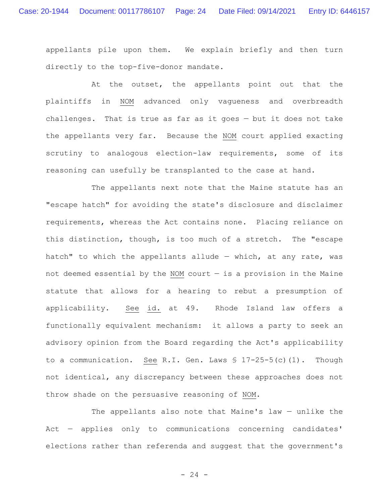appellants pile upon them. We explain briefly and then turn directly to the top-five-donor mandate.

At the outset, the appellants point out that the plaintiffs in NOM advanced only vagueness and overbreadth challenges. That is true as far as it goes — but it does not take the appellants very far. Because the NOM court applied exacting scrutiny to analogous election-law requirements, some of its reasoning can usefully be transplanted to the case at hand.

The appellants next note that the Maine statute has an "escape hatch" for avoiding the state's disclosure and disclaimer requirements, whereas the Act contains none. Placing reliance on this distinction, though, is too much of a stretch. The "escape hatch" to which the appellants allude  $-$  which, at any rate, was not deemed essential by the NOM court  $-$  is a provision in the Maine statute that allows for a hearing to rebut a presumption of applicability. See id. at 49. Rhode Island law offers a functionally equivalent mechanism: it allows a party to seek an advisory opinion from the Board regarding the Act's applicability to a communication. See R.I. Gen. Laws § 17-25-5(c)(1). Though not identical, any discrepancy between these approaches does not throw shade on the persuasive reasoning of NOM.

The appellants also note that Maine's law — unlike the Act — applies only to communications concerning candidates' elections rather than referenda and suggest that the government's

 $- 24 -$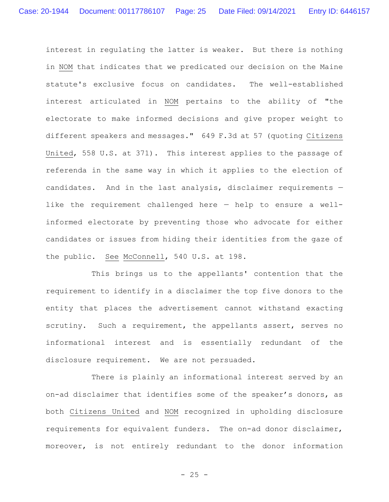interest in regulating the latter is weaker. But there is nothing in NOM that indicates that we predicated our decision on the Maine statute's exclusive focus on candidates. The well-established interest articulated in NOM pertains to the ability of "the electorate to make informed decisions and give proper weight to different speakers and messages." 649 F.3d at 57 (quoting Citizens United, 558 U.S. at 371). This interest applies to the passage of referenda in the same way in which it applies to the election of candidates. And in the last analysis, disclaimer requirements like the requirement challenged here — help to ensure a wellinformed electorate by preventing those who advocate for either candidates or issues from hiding their identities from the gaze of the public. See McConnell, 540 U.S. at 198.

This brings us to the appellants' contention that the requirement to identify in a disclaimer the top five donors to the entity that places the advertisement cannot withstand exacting scrutiny. Such a requirement, the appellants assert, serves no informational interest and is essentially redundant of the disclosure requirement. We are not persuaded.

There is plainly an informational interest served by an on-ad disclaimer that identifies some of the speaker's donors, as both Citizens United and NOM recognized in upholding disclosure requirements for equivalent funders. The on-ad donor disclaimer, moreover, is not entirely redundant to the donor information

 $- 25 -$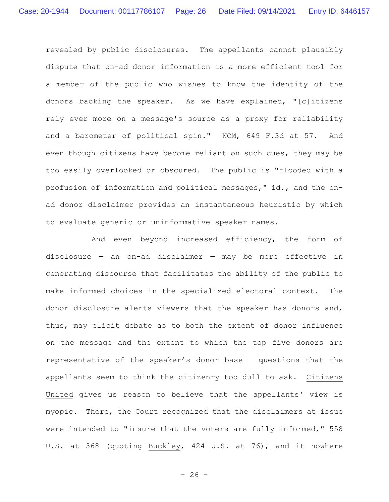revealed by public disclosures. The appellants cannot plausibly dispute that on-ad donor information is a more efficient tool for a member of the public who wishes to know the identity of the donors backing the speaker. As we have explained, "[c]itizens rely ever more on a message's source as a proxy for reliability and a barometer of political spin." NOM, 649 F.3d at 57. And even though citizens have become reliant on such cues, they may be too easily overlooked or obscured. The public is "flooded with a profusion of information and political messages," id., and the onad donor disclaimer provides an instantaneous heuristic by which to evaluate generic or uninformative speaker names.

And even beyond increased efficiency, the form of disclosure — an on-ad disclaimer — may be more effective in generating discourse that facilitates the ability of the public to make informed choices in the specialized electoral context. The donor disclosure alerts viewers that the speaker has donors and, thus, may elicit debate as to both the extent of donor influence on the message and the extent to which the top five donors are representative of the speaker's donor base — questions that the appellants seem to think the citizenry too dull to ask. Citizens United gives us reason to believe that the appellants' view is myopic. There, the Court recognized that the disclaimers at issue were intended to "insure that the voters are fully informed," 558 U.S. at 368 (quoting Buckley, 424 U.S. at 76), and it nowhere

 $- 26 -$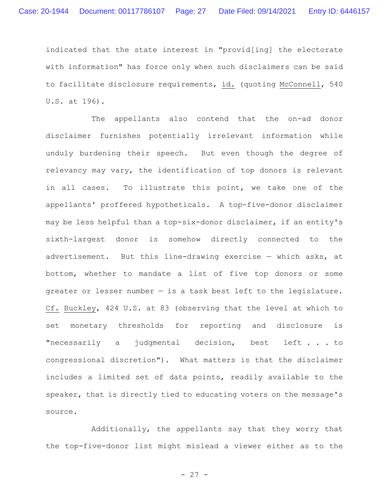indicated that the state interest in "provid[ing] the electorate with information" has force only when such disclaimers can be said to facilitate disclosure requirements, id. (quoting McConnell, 540 U.S. at 196).

The appellants also contend that the on-ad donor disclaimer furnishes potentially irrelevant information while unduly burdening their speech. But even though the degree of relevancy may vary, the identification of top donors is relevant in all cases. To illustrate this point, we take one of the appellants' proffered hypotheticals. A top-five-donor disclaimer may be less helpful than a top-six-donor disclaimer, if an entity's sixth-largest donor is somehow directly connected to the advertisement. But this line-drawing exercise — which asks, at bottom, whether to mandate a list of five top donors or some greater or lesser number — is a task best left to the legislature. Cf. Buckley, 424 U.S. at 83 (observing that the level at which to set monetary thresholds for reporting and disclosure is "necessarily a judgmental decision, best left . . . to congressional discretion"). What matters is that the disclaimer includes a limited set of data points, readily available to the speaker, that is directly tied to educating voters on the message's source.

Additionally, the appellants say that they worry that the top-five-donor list might mislead a viewer either as to the

- 27 -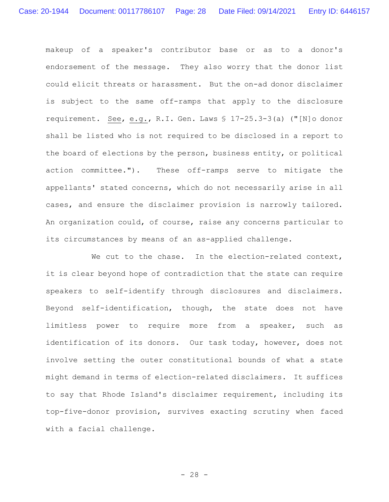makeup of a speaker's contributor base or as to a donor's endorsement of the message. They also worry that the donor list could elicit threats or harassment. But the on-ad donor disclaimer is subject to the same off-ramps that apply to the disclosure requirement. See, e.g., R.I. Gen. Laws § 17-25.3-3(a) ("[N]o donor shall be listed who is not required to be disclosed in a report to the board of elections by the person, business entity, or political action committee."). These off-ramps serve to mitigate the appellants' stated concerns, which do not necessarily arise in all cases, and ensure the disclaimer provision is narrowly tailored. An organization could, of course, raise any concerns particular to its circumstances by means of an as-applied challenge.

We cut to the chase. In the election-related context, it is clear beyond hope of contradiction that the state can require speakers to self-identify through disclosures and disclaimers. Beyond self-identification, though, the state does not have limitless power to require more from a speaker, such as identification of its donors. Our task today, however, does not involve setting the outer constitutional bounds of what a state might demand in terms of election-related disclaimers. It suffices to say that Rhode Island's disclaimer requirement, including its top-five-donor provision, survives exacting scrutiny when faced with a facial challenge.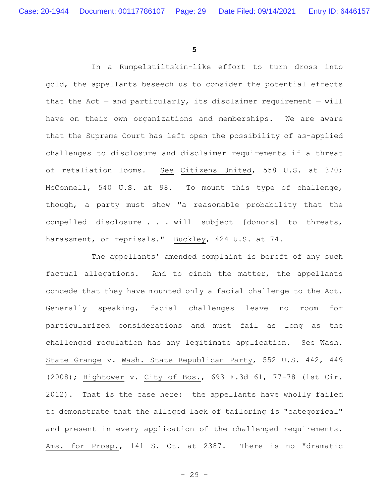**5**

In a Rumpelstiltskin-like effort to turn dross into gold, the appellants beseech us to consider the potential effects that the Act – and particularly, its disclaimer requirement – will have on their own organizations and memberships. We are aware that the Supreme Court has left open the possibility of as-applied challenges to disclosure and disclaimer requirements if a threat of retaliation looms. See Citizens United, 558 U.S. at 370; McConnell, 540 U.S. at 98. To mount this type of challenge, though, a party must show "a reasonable probability that the compelled disclosure . . . will subject [donors] to threats, harassment, or reprisals." Buckley, 424 U.S. at 74.

The appellants' amended complaint is bereft of any such factual allegations. And to cinch the matter, the appellants concede that they have mounted only a facial challenge to the Act. Generally speaking, facial challenges leave no room for particularized considerations and must fail as long as the challenged regulation has any legitimate application. See Wash. State Grange v. Wash. State Republican Party, 552 U.S. 442, 449 (2008); Hightower v. City of Bos., 693 F.3d 61, 77-78 (1st Cir. 2012). That is the case here: the appellants have wholly failed to demonstrate that the alleged lack of tailoring is "categorical" and present in every application of the challenged requirements. Ams. for Prosp., 141 S. Ct. at 2387. There is no "dramatic

- 29 -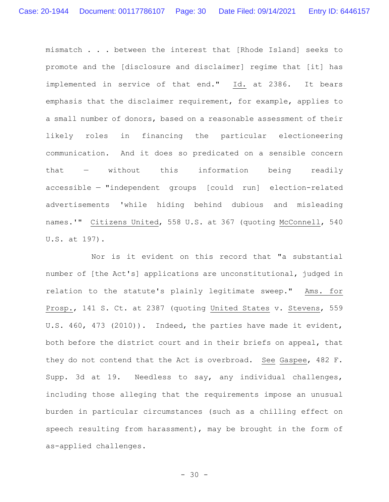mismatch . . . between the interest that [Rhode Island] seeks to promote and the [disclosure and disclaimer] regime that [it] has implemented in service of that end." Id. at 2386. It bears emphasis that the disclaimer requirement, for example, applies to a small number of donors, based on a reasonable assessment of their likely roles in financing the particular electioneering communication. And it does so predicated on a sensible concern that — without this information being readily accessible — "independent groups [could run] election-related advertisements 'while hiding behind dubious and misleading names.'" Citizens United, 558 U.S. at 367 (quoting McConnell, 540 U.S. at 197).

Nor is it evident on this record that "a substantial number of [the Act's] applications are unconstitutional, judged in relation to the statute's plainly legitimate sweep." Ams. for Prosp., 141 S. Ct. at 2387 (quoting United States v. Stevens, 559 U.S. 460, 473 (2010)). Indeed, the parties have made it evident, both before the district court and in their briefs on appeal, that they do not contend that the Act is overbroad. See Gaspee, 482 F. Supp. 3d at 19. Needless to say, any individual challenges, including those alleging that the requirements impose an unusual burden in particular circumstances (such as a chilling effect on speech resulting from harassment), may be brought in the form of as-applied challenges.

- 30 -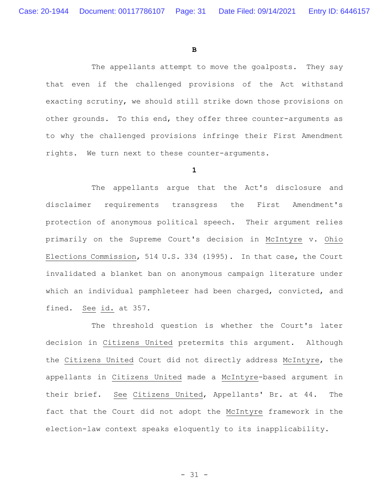**B**

The appellants attempt to move the goalposts. They say that even if the challenged provisions of the Act withstand exacting scrutiny, we should still strike down those provisions on other grounds. To this end, they offer three counter-arguments as to why the challenged provisions infringe their First Amendment rights. We turn next to these counter-arguments.

**1**

The appellants argue that the Act's disclosure and disclaimer requirements transgress the First Amendment's protection of anonymous political speech. Their argument relies primarily on the Supreme Court's decision in McIntyre v. Ohio Elections Commission, 514 U.S. 334 (1995). In that case, the Court invalidated a blanket ban on anonymous campaign literature under which an individual pamphleteer had been charged, convicted, and fined. See id. at 357.

The threshold question is whether the Court's later decision in Citizens United pretermits this argument. Although the Citizens United Court did not directly address McIntyre, the appellants in Citizens United made a McIntyre-based argument in their brief. See Citizens United, Appellants' Br. at 44. The fact that the Court did not adopt the McIntyre framework in the election-law context speaks eloquently to its inapplicability.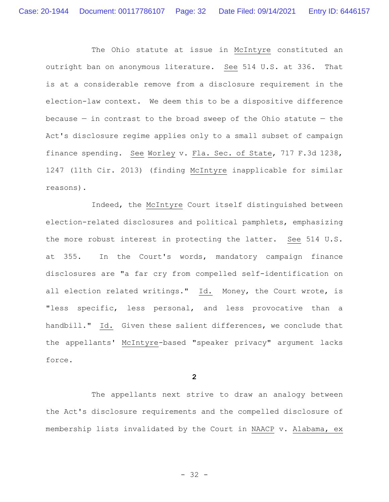The Ohio statute at issue in McIntyre constituted an outright ban on anonymous literature. See 514 U.S. at 336. That is at a considerable remove from a disclosure requirement in the election-law context. We deem this to be a dispositive difference because  $-$  in contrast to the broad sweep of the Ohio statute  $-$  the Act's disclosure regime applies only to a small subset of campaign finance spending. See Worley v. Fla. Sec. of State, 717 F.3d 1238, 1247 (11th Cir. 2013) (finding McIntyre inapplicable for similar reasons).

Indeed, the McIntyre Court itself distinguished between election-related disclosures and political pamphlets, emphasizing the more robust interest in protecting the latter. See 514 U.S. at 355. In the Court's words, mandatory campaign finance disclosures are "a far cry from compelled self-identification on all election related writings." Id. Money, the Court wrote, is "less specific, less personal, and less provocative than a handbill." Id. Given these salient differences, we conclude that the appellants' McIntyre-based "speaker privacy" argument lacks force.

**2**

The appellants next strive to draw an analogy between the Act's disclosure requirements and the compelled disclosure of membership lists invalidated by the Court in NAACP v. Alabama, ex

- 32 -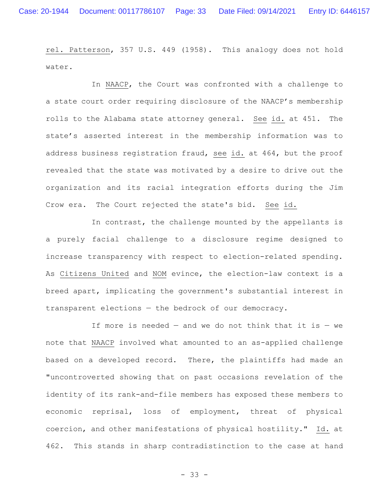rel. Patterson, 357 U.S. 449 (1958). This analogy does not hold water.

In NAACP, the Court was confronted with a challenge to a state court order requiring disclosure of the NAACP's membership rolls to the Alabama state attorney general. See id. at 451. The state's asserted interest in the membership information was to address business registration fraud, see id. at 464, but the proof revealed that the state was motivated by a desire to drive out the organization and its racial integration efforts during the Jim Crow era. The Court rejected the state's bid. See id.

In contrast, the challenge mounted by the appellants is a purely facial challenge to a disclosure regime designed to increase transparency with respect to election-related spending. As Citizens United and NOM evince, the election-law context is a breed apart, implicating the government's substantial interest in transparent elections — the bedrock of our democracy.

If more is needed  $-$  and we do not think that it is  $-$  we note that NAACP involved what amounted to an as-applied challenge based on a developed record. There, the plaintiffs had made an "uncontroverted showing that on past occasions revelation of the identity of its rank-and-file members has exposed these members to economic reprisal, loss of employment, threat of physical coercion, and other manifestations of physical hostility." Id. at 462. This stands in sharp contradistinction to the case at hand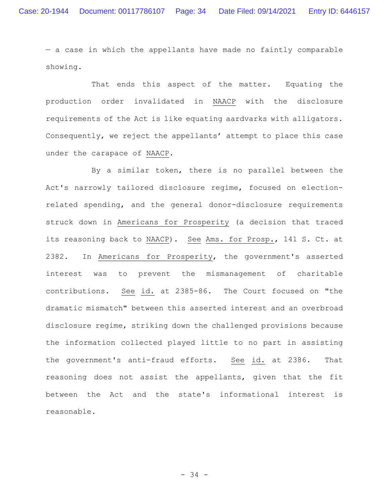— a case in which the appellants have made no faintly comparable showing.

That ends this aspect of the matter. Equating the production order invalidated in NAACP with the disclosure requirements of the Act is like equating aardvarks with alligators. Consequently, we reject the appellants' attempt to place this case under the carapace of NAACP.

By a similar token, there is no parallel between the Act's narrowly tailored disclosure regime, focused on electionrelated spending, and the general donor-disclosure requirements struck down in Americans for Prosperity (a decision that traced its reasoning back to NAACP). See Ams. for Prosp., 141 S. Ct. at 2382. In Americans for Prosperity, the government's asserted interest was to prevent the mismanagement of charitable contributions. See id. at 2385-86. The Court focused on "the dramatic mismatch" between this asserted interest and an overbroad disclosure regime, striking down the challenged provisions because the information collected played little to no part in assisting the government's anti-fraud efforts. See id. at 2386. That reasoning does not assist the appellants, given that the fit between the Act and the state's informational interest is reasonable.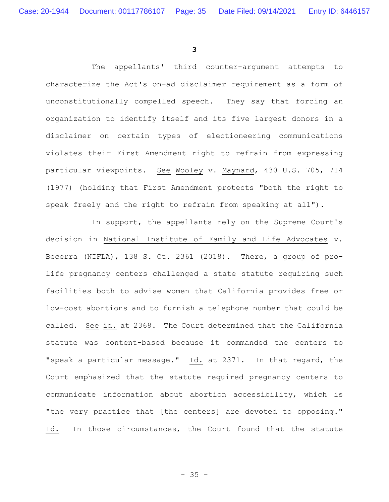**3**

The appellants' third counter-argument attempts to characterize the Act's on-ad disclaimer requirement as a form of unconstitutionally compelled speech. They say that forcing an organization to identify itself and its five largest donors in a disclaimer on certain types of electioneering communications violates their First Amendment right to refrain from expressing particular viewpoints. See Wooley v. Maynard, 430 U.S. 705, 714 (1977) (holding that First Amendment protects "both the right to speak freely and the right to refrain from speaking at all").

In support, the appellants rely on the Supreme Court's decision in National Institute of Family and Life Advocates v. Becerra (NIFLA), 138 S. Ct. 2361 (2018). There, a group of prolife pregnancy centers challenged a state statute requiring such facilities both to advise women that California provides free or low-cost abortions and to furnish a telephone number that could be called. See id. at 2368. The Court determined that the California statute was content-based because it commanded the centers to "speak a particular message." Id. at 2371. In that regard, the Court emphasized that the statute required pregnancy centers to communicate information about abortion accessibility, which is "the very practice that [the centers] are devoted to opposing." Id. In those circumstances, the Court found that the statute

 $- 35 -$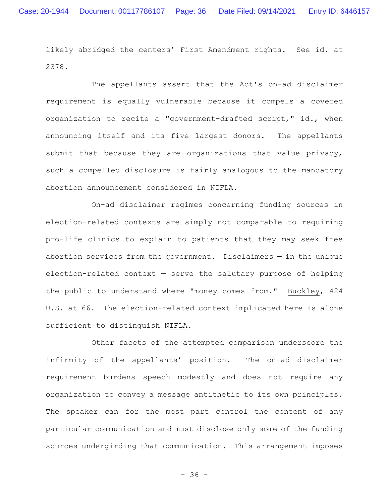likely abridged the centers' First Amendment rights. See id. at 2378.

The appellants assert that the Act's on-ad disclaimer requirement is equally vulnerable because it compels a covered organization to recite a "government-drafted script," id., when announcing itself and its five largest donors. The appellants submit that because they are organizations that value privacy, such a compelled disclosure is fairly analogous to the mandatory abortion announcement considered in NIFLA.

On-ad disclaimer regimes concerning funding sources in election-related contexts are simply not comparable to requiring pro-life clinics to explain to patients that they may seek free abortion services from the government. Disclaimers  $-$  in the unique election-related context  $-$  serve the salutary purpose of helping the public to understand where "money comes from." Buckley, 424 U.S. at 66. The election-related context implicated here is alone sufficient to distinguish NIFLA.

Other facets of the attempted comparison underscore the infirmity of the appellants' position. The on-ad disclaimer requirement burdens speech modestly and does not require any organization to convey a message antithetic to its own principles. The speaker can for the most part control the content of any particular communication and must disclose only some of the funding sources undergirding that communication. This arrangement imposes

- 36 -